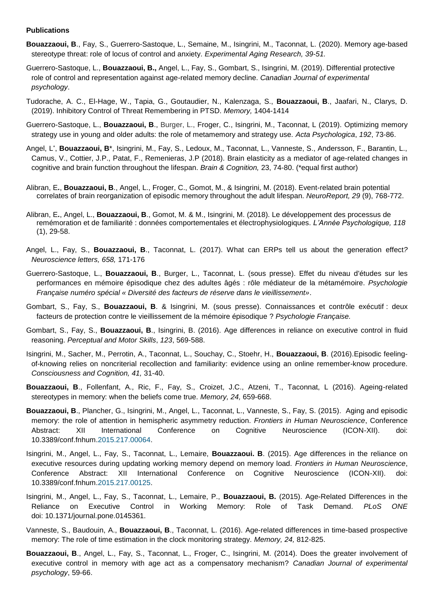## **Publications**

- **Bouazzaoui, B**., Fay, S., Guerrero-Sastoque, L., Semaine, M., Isingrini, M., Taconnat, L. (2020). Memory age-based stereotype threat: role of locus of control and anxiety. *Experimental Aging Research, 39-51.*
- Guerrero-Sastoque, L., **Bouazzaoui, B.,** Angel, L., Fay, S., Gombart, S., Isingrini, M. (2019). Differential protective role of control and representation against age-related memory decline. *Canadian Journal of experimental psychology*.
- Tudorache, A. C., El-Hage, W., Tapia, G., Goutaudier, N., Kalenzaga, S., **Bouazzaoui, B**., Jaafari, N., Clarys, D. (2019). Inhibitory Control of Threat Remembering in PTSD. *Memory,* 1404-1414
- Guerrero-Sastoque, L., **Bouazzaoui, B**., Burger, L., Froger, C., Isingrini, M., Taconnat, L (2019). Optimizing memory strategy use in young and older adults: the role of metamemory and strategy use. *Acta Psychologica*, *192*, 73-86.
- Angel, L<sup>\*</sup>, **Bouazzaoui, B**\*, Isingrini, M., Fay, S., Ledoux, M., Taconnat, L., Vanneste, S., Andersson, F., Barantin, L., Camus, V., Cottier, J.P., Patat, F., Remenieras, J.P (2018). Brain elasticity as a mediator of age-related changes in cognitive and brain function throughout the lifespan. *Brain & Cognition,* 23, 74-80. (\*equal first author)
- Alibran, E**.**, **Bouazzaoui, B**., Angel, L., Froger, C., Gomot, M., & Isingrini, M. (2018). Event-related brain potential correlates of brain reorganization of episodic memory throughout the adult lifespan. *NeuroReport, 29* (9), 768-772.
- Alibran, E**.**, Angel, L., **Bouazzaoui, B**., Gomot, M. & M., Isingrini, M. (2018). Le développement des processus de remémoration et de familiarité : données comportementales et électrophysiologiques. *L'Année Psychologique, 118*  (1), 29-58.
- Angel, L., Fay, S., **Bouazzaoui, B**., Taconnat, L. (2017). What can ERPs tell us about the generation effect*? Neuroscience letters, 658,* 171-176
- Guerrero-Sastoque, L., **Bouazzaoui, B**., Burger, L., Taconnat, L. (sous presse). Effet du niveau d'études sur les performances en mémoire épisodique chez des adultes âgés : rôle médiateur de la métamémoire. *Psychologie Française numéro spécial « Diversité des facteurs de réserve dans le vieillissement»*.
- Gombart, S., Fay, S., **Bouazzaoui, B**. & Isingrini, M. (sous presse). Connaissances et contrôle exécutif : deux facteurs de protection contre le vieillissement de la mémoire épisodique ? *Psychologie Française.*
- Gombart, S., Fay, S., **Bouazzaoui, B**., Isingrini, B. (2016). Age differences in reliance on executive control in fluid reasoning. *Perceptual and Motor Skills*, *123*, 569-588.
- Isingrini, M., Sacher, M., Perrotin, A., Taconnat, L., Souchay, C., Stoehr, H., **Bouazzaoui, B**. (2016).Episodic feelingof-knowing relies on noncriterial recollection and familiarity: evidence using an online remember-know procedure. *Consciousness and Cognition, 41,* 31-40.
- **Bouazzaoui, B**., Follenfant, A., Ric, F., Fay, S., Croizet, J.C., Atzeni, T., Taconnat, L (2016). Ageing-related stereotypes in memory: when the beliefs come true. *Memory, 24,* 659-668.
- **Bouazzaoui, B**., Plancher, G., Isingrini, M., Angel, L., Taconnat, L., Vanneste, S., Fay, S. (2015). Aging and episodic memory: the role of attention in hemispheric asymmetry reduction. *Frontiers in Human Neuroscience*, Conference Abstract: XII International Conference on Cognitive Neuroscience (ICON-XII). doi: 10.3389/conf.fnhum[.2015.217.00064.](callto:2015.217.00064)
- Isingrini, M., Angel, L., Fay, S., Taconnat, L., Lemaire, **Bouazzaoui. B**. (2015). Age differences in the reliance on executive resources during updating working memory depend on memory load. *Frontiers in Human Neuroscience*, Conference Abstract: XII International Conference on Cognitive Neuroscience (ICON-XII). doi: 10.3389/conf.fnhum[.2015.217.00125.](callto:2015.217.00125)
- Isingrini, M., Angel, L., Fay, S., Taconnat, L., Lemaire, P., **Bouazzaoui, B.** (2015). Age-Related Differences in the Reliance on Executive Control in Working Memory: Role of Task Demand*. PLoS ONE* doi: 10.1371/journal.pone.0145361.
- Vanneste, S., Baudouin, A., **Bouazzaoui, B**., Taconnat, L. (2016). Age-related differences in time-based prospective memory: The role of time estimation in the clock monitoring strategy. *Memory, 24,* 812-825.
- **Bouazzaoui, B**., Angel, L., Fay, S., Taconnat, L., Froger, C., Isingrini, M. (2014). Does the greater involvement of executive control in memory with age act as a compensatory mechanism? *Canadian Journal of experimental psychology*, 59-66.